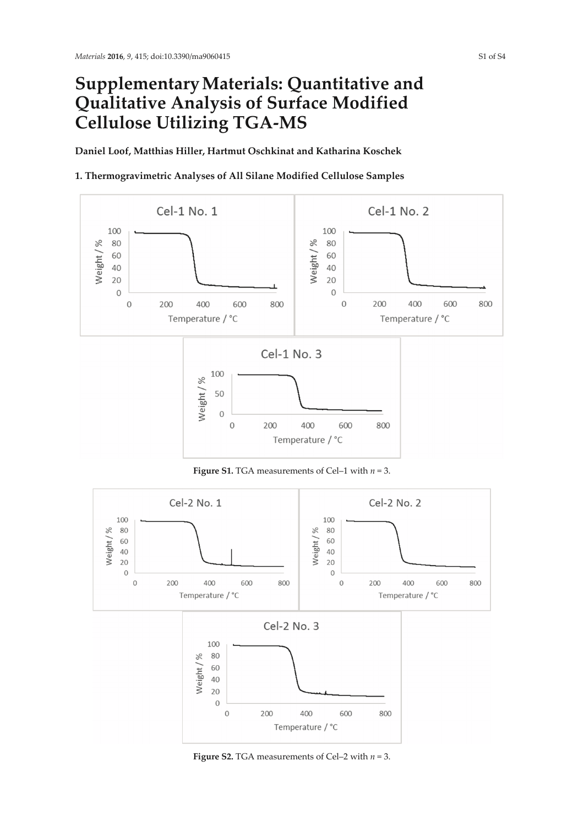## **Supplementary Materials: Quantitative and Qualitative Analysis of Surface Modified Cellulose Utilizing TGA-MS**

**Daniel Loof, Matthias Hiller, Hartmut Oschkinat and Katharina Koschek** 

## **1. Thermogravimetric Analyses of All Silane Modified Cellulose Samples**



**Figure S1.** TGA measurements of Cel–1 with *n* = 3.



**Figure S2.** TGA measurements of Cel–2 with  $n = 3$ .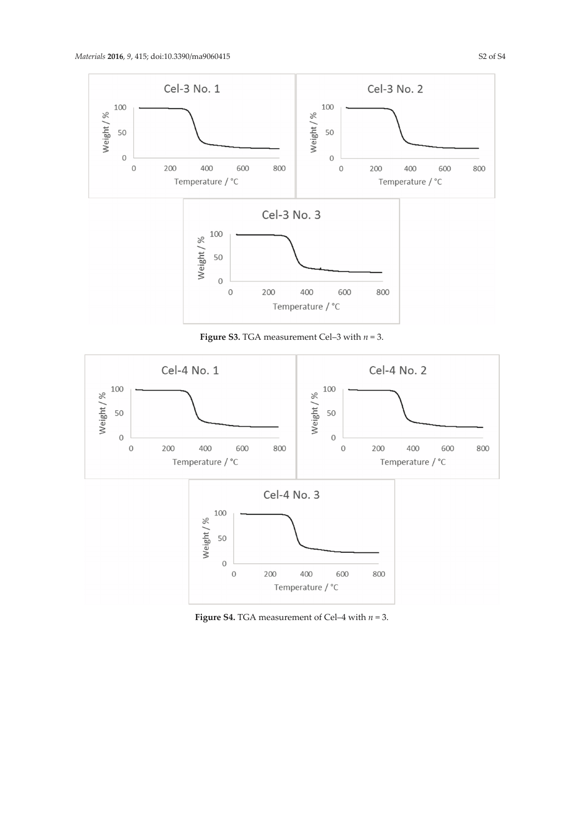

**Figure S3.** TGA measurement Cel–3 with  $n = 3$ .



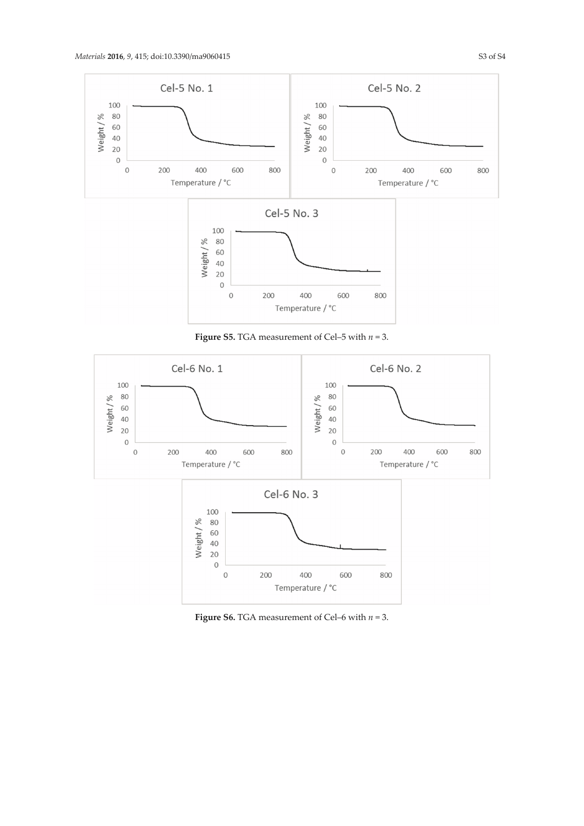

**Figure S5.** TGA measurement of Cel–5 with *n* = 3.